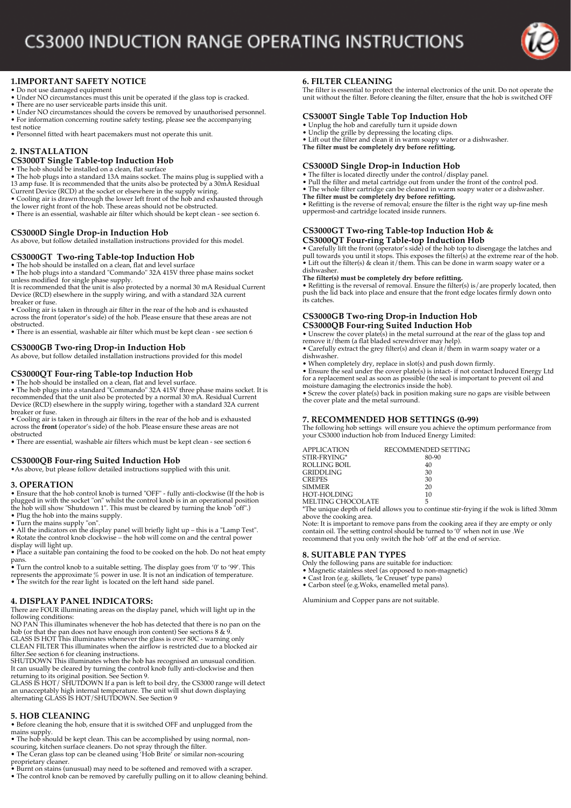

# **1.IMPORTANT SAFETY NOTICE**

- Do not use damaged equipment
- Under NO circumstances must this unit be operated if the glass top is cracked. There are no user serviceable parts inside this unit.
- 
- Under NO circumstances should the covers be removed by unauthorised personnel. • For information concerning routine safety testing, please see the accompanying
- test notice

• Personnel fitted with heart pacemakers must not operate this unit.

## **2. INSTALLATION**

## **CS3000T Single Table-top Induction Hob**

• The hob should be installed on a clean, flat surface

- The hob plugs into a standard 13A mains socket. The mains plug is supplied with a<br>13 amp fuse. It is recommended that the units also be protected by a 30mA Residual<br>Current Device (RCD) at the socket or elsewhere in the
- 
- 
- the lower right front of the hob. These areas should not be obstructed. There is an essential, washable air filter which should be kept clean see section 6.
- 

### **CS3000D Single Drop-in Induction Hob**

As above, but follow detailed installation instructions provided for this model.

### **CS3000GT Two-ring Table-top Induction Hob**

• The hob should be installed on a clean, flat and level surface • The hob plugs into a standard "Commando" 32A 415V three phase mains socket unless modified for single phase supply.

It is recommended that the unit is also protected by a normal 30 mA Residual Current Device (RCD) elsewhere in the supply wiring, and with a standard 32A current breaker or fuse.

• Cooling air is taken in through air filter in the rear of the hob and is exhausted across the front (operator's side) of the hob. Please ensure that these areas are not obstructed.

• There is an essential, washable air filter which must be kept clean - see section 6

### **CS3000GB Two-ring Drop-in Induction Hob**

As above, but follow detailed installation instructions provided for this model

### **CS3000QT Four-ring Table-top Induction Hob**

• The hob should be installed on a clean, flat and level surface. • The hob plugs into a standard "Commando" 32A 415V three phase mains socket. It is recommended that the unit also be protected by a normal 30 mA. Residual Current Device (RCD) elsewhere in the supply wiring, together with a standard 32A current

breaker or fuse. • Cooling air is taken in through air filters in the rear of the hob and is exhausted across the **front** (operator's side) of the hob. Please ensure these areas are not obstructed

• There are essential, washable air filters which must be kept clean - see section 6

### **CS3000QB Four-ring Suited Induction Hob**

•As above, but please follow detailed instructions supplied with this unit.

#### **3. OPERATION**

• Ensure that the hob control knob is turned "OFF" - fully anti-clockwise (If the hob is plugged in with the socket "on" whilst the control knob is in an operational position the hob will show "Shutdown 1". This must be cleared by turning the knob "off".)

• Plug the hob into the mains supply.

• Turn the mains supply "on". • All the indicators on the display panel will briefly light up – this is a "Lamp Test".

• Rotate the control knob clockwise – the hob will come on and the central power display will light up. • Place a suitable pan containing the food to be cooked on the hob. Do not heat empty

pans.

- Turn the control knob to a suitable setting. The display goes from '0' to '99'. This represents the approximate % power in use. It is not an indication of temperature.<br>• The switch for the rear light is located on the le
- 

## **4. DISPLAY PANEL INDICATORS:**

There are FOUR illuminating areas on the display panel, which will light up in the

following conditions: NO PAN This illuminates whenever the hob has detected that there is no pan on the hob (or that the pan does not have enough iron content) See sections 8 & 9. GLASS IS HOT This illuminates whenever the glass is over 80C - warning only

CLEAN FILTER This illuminates when the airflow is restricted due to a blocked air

filter.See section 6 for cleaning instructions. SHUTDOWN This illuminates when the hob has recognised an unusual condition. It can usually be cleared by turning the control knob fully anti-clockwise and then

returning to its original position. See Section 9.<br>GLASS IS HOT / SHUTDOWN If a pan is left to boil dry, the CS3000 range will detect<br>an unacceptably high internal temperature. The unit will shut down displaying<br>alternatin

## **5. HOB CLEANING**

• Before cleaning the hob, ensure that it is switched OFF and unplugged from the mains supply.

- The hob should be kept clean. This can be accomplished by using normal, non-<br>scouring, kitchen surface cleaners. Do not spray through the filter.<br>• The Ceran glass top can be cleaned using 'Hob Brite' or similar non-scou
- 
- proprietary cleaner. Burnt on stains (unusual) may need to be softened and removed with a scraper.
- The control knob can be removed by carefully pulling on it to allow cleaning behind.

## **6. FILTER CLEANING**

The filter is essential to protect the internal electronics of the unit. Do not operate the unit without the filter. Before cleaning the filter, ensure that the hob is switched OFF

### **CS3000T Single Table Top Induction Hob**

- Unplug the hob and carefully turn it upside down Unclip the grille by depressing the locating clips.
- 
- Lift out the filter and clean it in warm soapy water or a dishwasher. **The filter must be completely dry before refitting.**

### **CS3000D Single Drop-in Induction Hob**

- The filter is located directly under the control/display panel.
- Pull the filter and metal cartridge out from under the front of the control pod. The whole filter cartridge can be cleaned in warm soapy water or a dishwasher.
- 
- The filter must be completely dry before refitting.<br>• Refitting is the reverse of removal; ensure the filter is the right way up-fine mesh<br>uppermost-and cartridge located inside runners.

#### **CS3000GT Two-ring Table-top Induction Hob & CS3000QT Four-ring Table-top Induction Hob**

• Carefully lift the front (operator's side) of the hob top to disengage the latches and<br>pull towards you until it stops. This exposes the filter(s) at the extreme rear of the hob.<br>• Lift out the filter(s) & clean it/them. dishwasher.

The filter(s) must be completely dry before refitting.<br>• Refitting is the reversal of removal. Ensure the filter(s) is/are properly located, then<br>push the lid back into place and ensure that the front edge locates firmly d

#### **CS3000GB Two-ring Drop-in Induction Hob CS3000QB Four-ring Suited Induction Hob**

• Unscrew the cover plate(s) in the metal surround at the rear of the glass top and remove it/them (a flat bladed screwdriver may help).

• Carefully extract the grey filter(s) and clean it/them in warm soapy water or a dishwasher.

• When completely dry, replace in slot(s) and push down firmly.

• Ensure the seal under the cover plate(s) is intact- if not contact Induced Energy Ltd for a replacement seal as soon as possible (the seal is important to prevent oil and moisture damaging the electronics inside the hob

### **7. RECOMMENDED HOB SETTINGS (0-99)**

The following hob settings will ensure you achieve the optimum performance from your CS3000 induction hob from Induced Energy Limited:

| <b>APPLICATION</b> | RECOMMENDED SETTING                                           |
|--------------------|---------------------------------------------------------------|
| STIR-FRYING*       | 80-90                                                         |
| ROLLING BOIL       | 40                                                            |
| GRIDDLING          | 30                                                            |
| <b>CREPES</b>      | 30                                                            |
| SIMMER             | 20                                                            |
| HOT-HOLDING        | 10                                                            |
| MELTING CHOCOLATE  | 5                                                             |
|                    | *The contents death of Cold officers and to content of attack |

MELTING CHOCOLATE<br>\*The unique depth of field allows you to continue stir-frying if the wok is lifted 30mm above the cooking area.

Note: It is important to remove pans from the cooking area if they are empty or only contain oil. The setting control should be turned to '0' when not in use .We recommend that you only switch the hob 'off' at the end of service.

#### **8. SUITABLE PAN TYPES**

Only the following pans are suitable for induction: • Magnetic stainless steel (as opposed to non-magnetic) • Cast Iron (e.g. skillets, 'le Creuset' type pans)

• Carbon steel (e.g.Woks, enamelled metal pans).

Aluminium and Copper pans are not suitable.